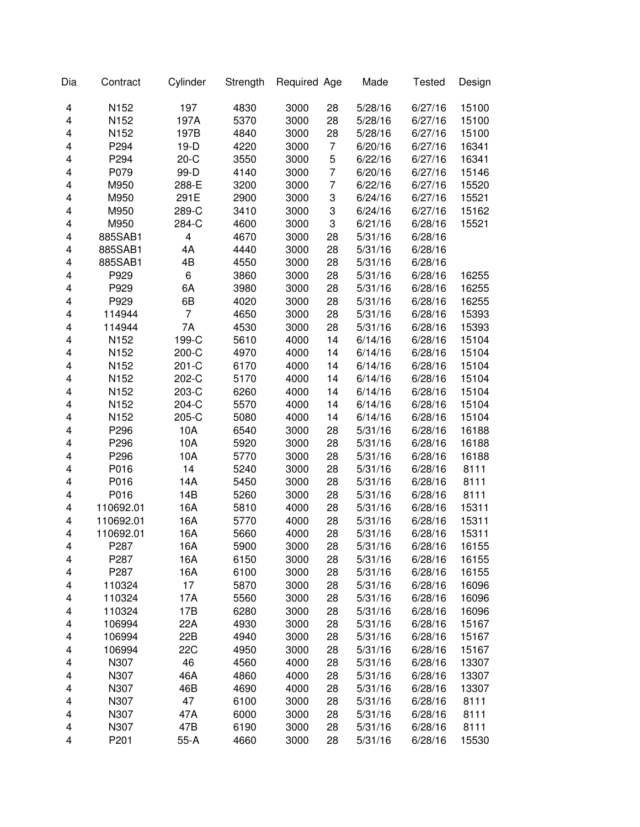| Dia                     | Contract  | Cylinder       | Strength | Required Age |                | Made    | <b>Tested</b> | Design |
|-------------------------|-----------|----------------|----------|--------------|----------------|---------|---------------|--------|
| 4                       | N152      | 197            | 4830     | 3000         | 28             | 5/28/16 | 6/27/16       | 15100  |
| 4                       | N152      | 197A           | 5370     | 3000         | 28             | 5/28/16 | 6/27/16       | 15100  |
| 4                       | N152      | 197B           | 4840     | 3000         | 28             | 5/28/16 | 6/27/16       | 15100  |
| 4                       | P294      | $19-D$         | 4220     | 3000         | 7              | 6/20/16 | 6/27/16       | 16341  |
| 4                       | P294      | $20-C$         | 3550     | 3000         | 5              | 6/22/16 | 6/27/16       | 16341  |
| 4                       | P079      | 99-D           | 4140     | 3000         | $\overline{7}$ | 6/20/16 | 6/27/16       | 15146  |
| 4                       | M950      | 288-E          | 3200     | 3000         | $\overline{7}$ | 6/22/16 | 6/27/16       | 15520  |
| 4                       | M950      | 291E           | 2900     | 3000         | 3              | 6/24/16 | 6/27/16       | 15521  |
| 4                       | M950      | 289-C          | 3410     | 3000         | 3              | 6/24/16 | 6/27/16       | 15162  |
| 4                       | M950      | 284-C          | 4600     | 3000         | 3              | 6/21/16 | 6/28/16       | 15521  |
| 4                       | 885SAB1   | 4              | 4670     | 3000         | 28             | 5/31/16 | 6/28/16       |        |
| 4                       | 885SAB1   | 4A             | 4440     | 3000         | 28             | 5/31/16 | 6/28/16       |        |
| 4                       | 885SAB1   | 4B             | 4550     | 3000         | 28             | 5/31/16 | 6/28/16       |        |
| 4                       | P929      | 6              | 3860     | 3000         | 28             | 5/31/16 | 6/28/16       | 16255  |
| 4                       | P929      | 6A             | 3980     | 3000         | 28             | 5/31/16 | 6/28/16       | 16255  |
| 4                       | P929      | 6B             | 4020     | 3000         | 28             | 5/31/16 | 6/28/16       | 16255  |
| 4                       | 114944    | $\overline{7}$ | 4650     | 3000         | 28             | 5/31/16 | 6/28/16       | 15393  |
| 4                       | 114944    | 7A             | 4530     | 3000         | 28             | 5/31/16 | 6/28/16       | 15393  |
| $\overline{\mathbf{4}}$ | N152      | 199-C          | 5610     | 4000         | 14             | 6/14/16 | 6/28/16       | 15104  |
| 4                       | N152      | 200-C          | 4970     | 4000         | 14             | 6/14/16 | 6/28/16       | 15104  |
| 4                       | N152      | 201-C          | 6170     | 4000         | 14             | 6/14/16 | 6/28/16       | 15104  |
| 4                       | N152      | 202-C          | 5170     | 4000         | 14             | 6/14/16 | 6/28/16       | 15104  |
| 4                       | N152      | 203-C          | 6260     | 4000         | 14             | 6/14/16 | 6/28/16       | 15104  |
| 4                       | N152      | 204-C          | 5570     | 4000         | 14             | 6/14/16 | 6/28/16       | 15104  |
| 4                       | N152      | 205-C          | 5080     | 4000         | 14             | 6/14/16 | 6/28/16       | 15104  |
| 4                       | P296      | 10A            | 6540     | 3000         | 28             | 5/31/16 | 6/28/16       | 16188  |
| 4                       | P296      | 10A            | 5920     | 3000         | 28             | 5/31/16 | 6/28/16       | 16188  |
| 4                       | P296      | 10A            | 5770     | 3000         | 28             | 5/31/16 | 6/28/16       | 16188  |
| 4                       | P016      | 14             | 5240     | 3000         | 28             | 5/31/16 | 6/28/16       | 8111   |
| 4                       | P016      | 14A            | 5450     | 3000         | 28             | 5/31/16 | 6/28/16       | 8111   |
| 4                       | P016      | 14B            | 5260     | 3000         | 28             | 5/31/16 | 6/28/16       | 8111   |
| 4                       | 110692.01 | 16A            | 5810     | 4000         | 28             | 5/31/16 | 6/28/16       | 15311  |
| 4                       | 110692.01 | 16A            | 5770     | 4000         | 28             | 5/31/16 | 6/28/16       | 15311  |
| 4                       | 110692.01 | 16A            | 5660     | 4000         | 28             | 5/31/16 | 6/28/16       | 15311  |
| 4                       | P287      | 16A            | 5900     | 3000         | 28             | 5/31/16 | 6/28/16       | 16155  |
| 4                       | P287      | 16A            | 6150     | 3000         | 28             | 5/31/16 | 6/28/16       | 16155  |
| 4                       | P287      | 16A            | 6100     | 3000         | 28             | 5/31/16 | 6/28/16       | 16155  |
| 4                       | 110324    | 17             | 5870     | 3000         | 28             | 5/31/16 | 6/28/16       | 16096  |
| 4                       | 110324    | 17A            | 5560     | 3000         | 28             | 5/31/16 | 6/28/16       | 16096  |
| 4                       | 110324    | 17B            | 6280     | 3000         | 28             | 5/31/16 | 6/28/16       | 16096  |
| 4                       | 106994    | 22A            | 4930     | 3000         | 28             | 5/31/16 | 6/28/16       | 15167  |
| 4                       | 106994    | 22B            | 4940     | 3000         | 28             | 5/31/16 | 6/28/16       | 15167  |
| 4                       | 106994    | 22C            | 4950     | 3000         | 28             | 5/31/16 | 6/28/16       | 15167  |
| 4                       | N307      | 46             | 4560     | 4000         | 28             | 5/31/16 | 6/28/16       | 13307  |
| 4                       | N307      | 46A            | 4860     | 4000         | 28             | 5/31/16 | 6/28/16       | 13307  |
| 4                       | N307      | 46B            | 4690     | 4000         | 28             | 5/31/16 | 6/28/16       | 13307  |
| 4                       | N307      | 47             | 6100     | 3000         | 28             | 5/31/16 | 6/28/16       | 8111   |
| 4                       | N307      | 47A            | 6000     | 3000         | 28             | 5/31/16 | 6/28/16       | 8111   |
| 4                       | N307      | 47B            | 6190     | 3000         | 28             | 5/31/16 | 6/28/16       | 8111   |
| 4                       | P201      | $55-A$         | 4660     | 3000         | 28             | 5/31/16 | 6/28/16       | 15530  |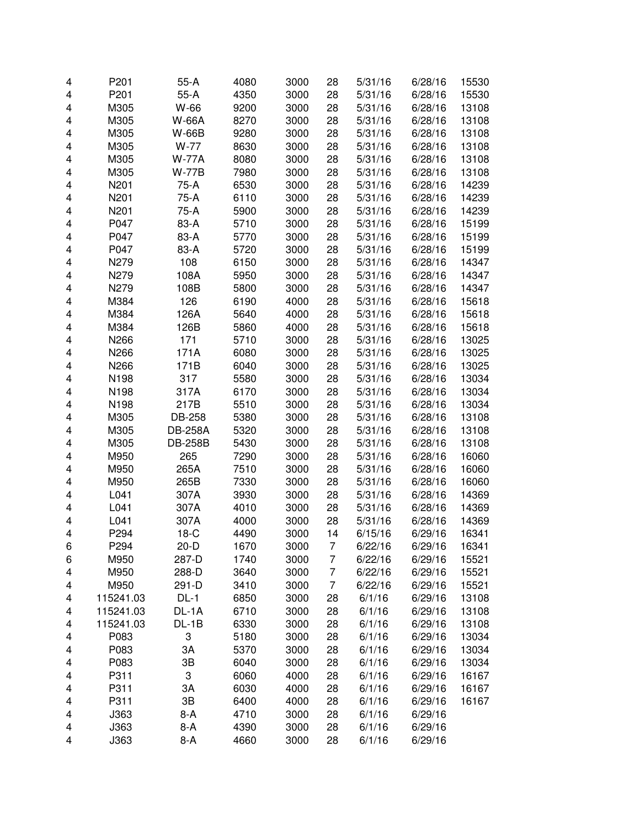| 4 | P201      | $55-A$         | 4080 | 3000 | 28 | 5/31/16 | 6/28/16 | 15530 |
|---|-----------|----------------|------|------|----|---------|---------|-------|
| 4 | P201      | $55-A$         | 4350 | 3000 | 28 | 5/31/16 | 6/28/16 | 15530 |
| 4 | M305      | W-66           | 9200 | 3000 | 28 | 5/31/16 | 6/28/16 | 13108 |
| 4 | M305      | <b>W-66A</b>   | 8270 | 3000 | 28 | 5/31/16 | 6/28/16 | 13108 |
| 4 | M305      | <b>W-66B</b>   | 9280 | 3000 | 28 | 5/31/16 | 6/28/16 | 13108 |
| 4 | M305      | W-77           | 8630 | 3000 | 28 | 5/31/16 | 6/28/16 | 13108 |
| 4 | M305      | <b>W-77A</b>   | 8080 | 3000 | 28 | 5/31/16 | 6/28/16 | 13108 |
| 4 | M305      | <b>W-77B</b>   | 7980 | 3000 | 28 | 5/31/16 | 6/28/16 | 13108 |
| 4 | N201      | 75-A           | 6530 | 3000 | 28 | 5/31/16 | 6/28/16 | 14239 |
| 4 | N201      | 75-A           | 6110 | 3000 | 28 | 5/31/16 | 6/28/16 | 14239 |
| 4 | N201      | 75-A           | 5900 | 3000 | 28 | 5/31/16 | 6/28/16 | 14239 |
| 4 | P047      | 83-A           | 5710 | 3000 | 28 | 5/31/16 | 6/28/16 | 15199 |
| 4 | P047      | 83-A           | 5770 | 3000 | 28 | 5/31/16 | 6/28/16 | 15199 |
| 4 | P047      | 83-A           | 5720 | 3000 | 28 | 5/31/16 | 6/28/16 | 15199 |
| 4 | N279      | 108            | 6150 | 3000 | 28 | 5/31/16 | 6/28/16 | 14347 |
| 4 | N279      | 108A           | 5950 | 3000 | 28 | 5/31/16 | 6/28/16 | 14347 |
| 4 | N279      | 108B           | 5800 | 3000 | 28 | 5/31/16 | 6/28/16 | 14347 |
| 4 | M384      | 126            | 6190 | 4000 | 28 | 5/31/16 | 6/28/16 | 15618 |
| 4 | M384      | 126A           | 5640 | 4000 | 28 | 5/31/16 | 6/28/16 | 15618 |
| 4 | M384      | 126B           | 5860 | 4000 | 28 | 5/31/16 | 6/28/16 | 15618 |
| 4 |           | 171            | 5710 |      |    |         |         |       |
|   | N266      |                |      | 3000 | 28 | 5/31/16 | 6/28/16 | 13025 |
| 4 | N266      | 171A           | 6080 | 3000 | 28 | 5/31/16 | 6/28/16 | 13025 |
| 4 | N266      | 171B           | 6040 | 3000 | 28 | 5/31/16 | 6/28/16 | 13025 |
| 4 | N198      | 317            | 5580 | 3000 | 28 | 5/31/16 | 6/28/16 | 13034 |
| 4 | N198      | 317A           | 6170 | 3000 | 28 | 5/31/16 | 6/28/16 | 13034 |
| 4 | N198      | 217B           | 5510 | 3000 | 28 | 5/31/16 | 6/28/16 | 13034 |
| 4 | M305      | DB-258         | 5380 | 3000 | 28 | 5/31/16 | 6/28/16 | 13108 |
| 4 | M305      | <b>DB-258A</b> | 5320 | 3000 | 28 | 5/31/16 | 6/28/16 | 13108 |
| 4 | M305      | <b>DB-258B</b> | 5430 | 3000 | 28 | 5/31/16 | 6/28/16 | 13108 |
| 4 | M950      | 265            | 7290 | 3000 | 28 | 5/31/16 | 6/28/16 | 16060 |
| 4 | M950      | 265A           | 7510 | 3000 | 28 | 5/31/16 | 6/28/16 | 16060 |
| 4 | M950      | 265B           | 7330 | 3000 | 28 | 5/31/16 | 6/28/16 | 16060 |
| 4 | L041      | 307A           | 3930 | 3000 | 28 | 5/31/16 | 6/28/16 | 14369 |
| 4 | L041      | 307A           | 4010 | 3000 | 28 | 5/31/16 | 6/28/16 | 14369 |
| 4 | L041      | 307A           | 4000 | 3000 | 28 | 5/31/16 | 6/28/16 | 14369 |
| 4 | P294      | $18-C$         | 4490 | 3000 | 14 | 6/15/16 | 6/29/16 | 16341 |
| 6 | P294      | 20-D           | 1670 | 3000 | 7  | 6/22/16 | 6/29/16 | 16341 |
| 6 | M950      | 287-D          | 1740 | 3000 | 7  | 6/22/16 | 6/29/16 | 15521 |
| 4 | M950      | 288-D          | 3640 | 3000 | 7  | 6/22/16 | 6/29/16 | 15521 |
| 4 | M950      | 291-D          | 3410 | 3000 | 7  | 6/22/16 | 6/29/16 | 15521 |
| 4 | 115241.03 | $DL-1$         | 6850 | 3000 | 28 | 6/1/16  | 6/29/16 | 13108 |
| 4 | 115241.03 | DL-1A          | 6710 | 3000 | 28 | 6/1/16  | 6/29/16 | 13108 |
| 4 | 115241.03 | DL-1B          | 6330 | 3000 | 28 | 6/1/16  | 6/29/16 | 13108 |
| 4 | P083      | 3              | 5180 | 3000 | 28 | 6/1/16  | 6/29/16 | 13034 |
| 4 | P083      | 3A             | 5370 | 3000 | 28 | 6/1/16  | 6/29/16 | 13034 |
| 4 | P083      | 3B             | 6040 | 3000 | 28 | 6/1/16  | 6/29/16 | 13034 |
| 4 | P311      | 3              | 6060 | 4000 | 28 | 6/1/16  | 6/29/16 | 16167 |
| 4 | P311      | 3A             | 6030 | 4000 | 28 | 6/1/16  | 6/29/16 | 16167 |
| 4 | P311      | 3B             | 6400 | 4000 | 28 | 6/1/16  | 6/29/16 | 16167 |
| 4 | J363      | $8-A$          | 4710 | 3000 | 28 | 6/1/16  | 6/29/16 |       |
| 4 | J363      | $8-A$          | 4390 | 3000 | 28 | 6/1/16  | 6/29/16 |       |
| 4 | J363      | $8-A$          | 4660 | 3000 | 28 | 6/1/16  | 6/29/16 |       |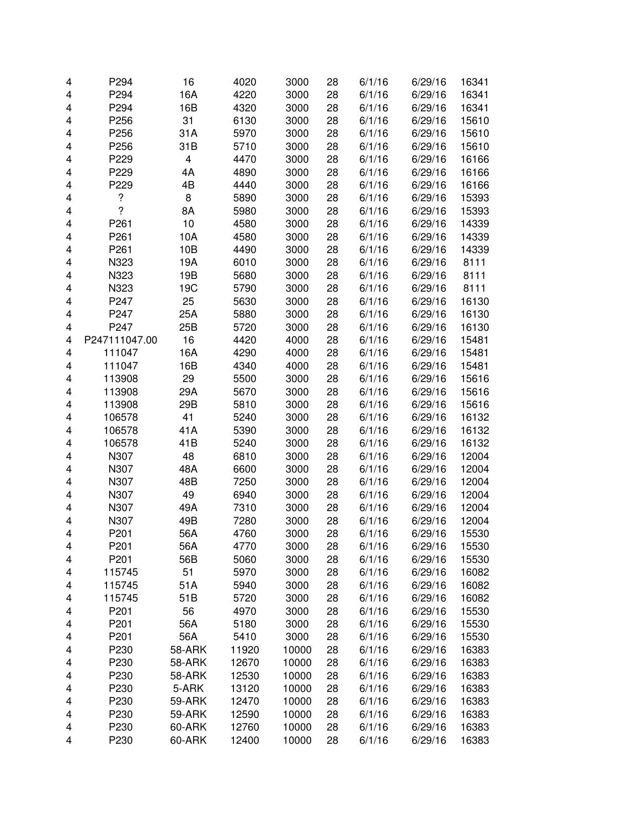| 4 | P294           | 16            | 4020         | 3000  | 28       | 6/1/16 | 6/29/16            | 16341          |
|---|----------------|---------------|--------------|-------|----------|--------|--------------------|----------------|
| 4 | P294           | 16A           | 4220         | 3000  | 28       | 6/1/16 | 6/29/16            | 16341          |
| 4 | P294           | 16B           | 4320         | 3000  | 28       | 6/1/16 | 6/29/16            | 16341          |
| 4 | P256           | 31            | 6130         | 3000  | 28       | 6/1/16 | 6/29/16            | 15610          |
| 4 | P256           | 31A           | 5970         | 3000  | 28       | 6/1/16 | 6/29/16            | 15610          |
| 4 | P256           | 31B           | 5710         | 3000  | 28       | 6/1/16 | 6/29/16            | 15610          |
| 4 | P229           | 4             | 4470         | 3000  | 28       | 6/1/16 | 6/29/16            | 16166          |
| 4 | P229           | 4A            | 4890         | 3000  | 28       | 6/1/16 | 6/29/16            | 16166          |
| 4 | P229           | 4B            | 4440         | 3000  | 28       | 6/1/16 | 6/29/16            | 16166          |
| 4 | ?              | 8             | 5890         | 3000  | 28       | 6/1/16 | 6/29/16            | 15393          |
| 4 | $\overline{?}$ | 8A            | 5980         | 3000  | 28       | 6/1/16 | 6/29/16            | 15393          |
| 4 | P261           | 10            | 4580         | 3000  | 28       | 6/1/16 | 6/29/16            | 14339          |
| 4 | P261           | 10A           | 4580         | 3000  | 28       | 6/1/16 | 6/29/16            | 14339          |
| 4 | P261           | 10B           | 4490         | 3000  | 28       | 6/1/16 | 6/29/16            | 14339          |
| 4 | N323           | 19A           | 6010         | 3000  | 28       | 6/1/16 | 6/29/16            | 8111           |
| 4 | N323           | 19B           | 5680         | 3000  | 28       | 6/1/16 | 6/29/16            | 8111           |
| 4 | N323           | 19C           | 5790         | 3000  | 28       | 6/1/16 | 6/29/16            | 8111           |
| 4 | P247           | 25            | 5630         | 3000  | 28       | 6/1/16 | 6/29/16            | 16130          |
| 4 | P247           | 25A           | 5880         | 3000  | 28       | 6/1/16 | 6/29/16            | 16130          |
| 4 | P247           | 25B           | 5720         | 3000  | 28       | 6/1/16 | 6/29/16            | 16130          |
| 4 | P247111047.00  | 16            | 4420         | 4000  | 28       | 6/1/16 | 6/29/16            | 15481          |
| 4 | 111047         | 16A           | 4290         | 4000  | 28       | 6/1/16 | 6/29/16            | 15481          |
| 4 | 111047         | 16B           | 4340         | 4000  | 28       | 6/1/16 | 6/29/16            | 15481          |
| 4 | 113908         | 29            | 5500         | 3000  | 28       | 6/1/16 | 6/29/16            | 15616          |
| 4 | 113908         | 29A           | 5670         | 3000  | 28       | 6/1/16 | 6/29/16            | 15616          |
| 4 | 113908         | 29B           | 5810         | 3000  | 28       | 6/1/16 | 6/29/16            | 15616          |
| 4 | 106578         | 41            | 5240         | 3000  | 28       | 6/1/16 | 6/29/16            | 16132          |
| 4 | 106578         | 41A           | 5390         | 3000  | 28       | 6/1/16 | 6/29/16            | 16132          |
| 4 | 106578         | 41B           | 5240         | 3000  | 28       | 6/1/16 | 6/29/16            | 16132          |
| 4 | N307           | 48            | 6810         | 3000  | 28       | 6/1/16 | 6/29/16            | 12004          |
| 4 | N307           | 48A           | 6600         | 3000  | 28       | 6/1/16 | 6/29/16            | 12004          |
| 4 | N307           | 48B           | 7250         | 3000  | 28       | 6/1/16 | 6/29/16            | 12004          |
| 4 | N307           | 49            | 6940         | 3000  | 28       | 6/1/16 | 6/29/16            | 12004          |
| 4 | N307           | 49A           | 7310         | 3000  | 28       | 6/1/16 | 6/29/16            | 12004          |
| 4 | N307           | 49B           | 7280         | 3000  | 28       | 6/1/16 | 6/29/16            | 12004          |
| 4 | P201           | 56A           | 4760         | 3000  | 28       | 6/1/16 | 6/29/16            | 15530          |
|   |                |               |              |       |          |        |                    |                |
| 4 | P201           | 56A<br>56B    | 4770         | 3000  | 28       | 6/1/16 | 6/29/16<br>6/29/16 | 15530          |
| 4 | P201<br>115745 | 51            | 5060<br>5970 | 3000  | 28<br>28 | 6/1/16 | 6/29/16            | 15530<br>16082 |
| 4 | 115745         |               |              | 3000  |          | 6/1/16 | 6/29/16            |                |
| 4 |                | 51A           | 5940         | 3000  | 28<br>28 | 6/1/16 |                    | 16082          |
| 4 | 115745         | 51B           | 5720         | 3000  |          | 6/1/16 | 6/29/16            | 16082          |
| 4 | P201           | 56            | 4970         | 3000  | 28       | 6/1/16 | 6/29/16            | 15530          |
| 4 | P201           | 56A           | 5180         | 3000  | 28       | 6/1/16 | 6/29/16            | 15530          |
| 4 | P201           | 56A           | 5410         | 3000  | 28       | 6/1/16 | 6/29/16            | 15530          |
| 4 | P230           | <b>58-ARK</b> | 11920        | 10000 | 28       | 6/1/16 | 6/29/16            | 16383          |
| 4 | P230           | 58-ARK        | 12670        | 10000 | 28       | 6/1/16 | 6/29/16            | 16383          |
| 4 | P230           | 58-ARK        | 12530        | 10000 | 28       | 6/1/16 | 6/29/16            | 16383          |
| 4 | P230           | 5-ARK         | 13120        | 10000 | 28       | 6/1/16 | 6/29/16            | 16383          |
| 4 | P230           | 59-ARK        | 12470        | 10000 | 28       | 6/1/16 | 6/29/16            | 16383          |
| 4 | P230           | 59-ARK        | 12590        | 10000 | 28       | 6/1/16 | 6/29/16            | 16383          |
| 4 | P230           | 60-ARK        | 12760        | 10000 | 28       | 6/1/16 | 6/29/16            | 16383          |
| 4 | P230           | 60-ARK        | 12400        | 10000 | 28       | 6/1/16 | 6/29/16            | 16383          |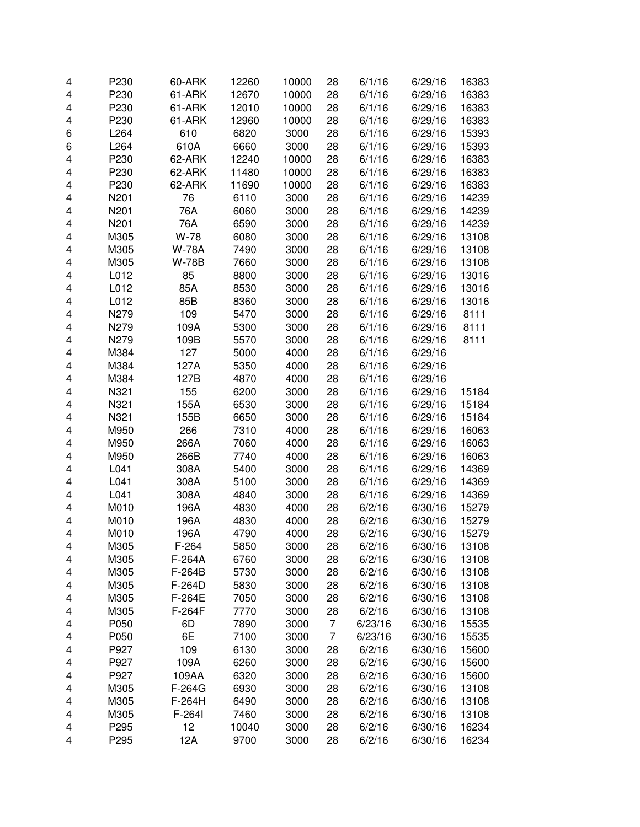| 4 | P230 | 60-ARK       | 12260 | 10000 | 28             | 6/1/16  | 6/29/16 | 16383 |
|---|------|--------------|-------|-------|----------------|---------|---------|-------|
| 4 | P230 | 61-ARK       | 12670 | 10000 | 28             | 6/1/16  | 6/29/16 | 16383 |
| 4 | P230 | 61-ARK       | 12010 | 10000 | 28             | 6/1/16  | 6/29/16 | 16383 |
| 4 | P230 | 61-ARK       | 12960 | 10000 | 28             | 6/1/16  | 6/29/16 | 16383 |
| 6 | L264 | 610          | 6820  | 3000  | 28             | 6/1/16  | 6/29/16 | 15393 |
| 6 | L264 | 610A         | 6660  | 3000  | 28             | 6/1/16  | 6/29/16 | 15393 |
| 4 | P230 | 62-ARK       | 12240 | 10000 | 28             | 6/1/16  | 6/29/16 | 16383 |
|   |      |              |       |       |                |         |         |       |
| 4 | P230 | 62-ARK       | 11480 | 10000 | 28             | 6/1/16  | 6/29/16 | 16383 |
| 4 | P230 | 62-ARK       | 11690 | 10000 | 28             | 6/1/16  | 6/29/16 | 16383 |
| 4 | N201 | 76           | 6110  | 3000  | 28             | 6/1/16  | 6/29/16 | 14239 |
| 4 | N201 | 76A          | 6060  | 3000  | 28             | 6/1/16  | 6/29/16 | 14239 |
| 4 | N201 | 76A          | 6590  | 3000  | 28             | 6/1/16  | 6/29/16 | 14239 |
| 4 | M305 | W-78         | 6080  | 3000  | 28             | 6/1/16  | 6/29/16 | 13108 |
| 4 | M305 | <b>W-78A</b> | 7490  | 3000  | 28             | 6/1/16  | 6/29/16 | 13108 |
| 4 | M305 | <b>W-78B</b> | 7660  | 3000  | 28             | 6/1/16  | 6/29/16 | 13108 |
| 4 | L012 | 85           | 8800  | 3000  | 28             | 6/1/16  | 6/29/16 | 13016 |
| 4 | L012 | 85A          | 8530  | 3000  | 28             | 6/1/16  | 6/29/16 | 13016 |
| 4 | L012 | 85B          | 8360  | 3000  | 28             | 6/1/16  | 6/29/16 | 13016 |
| 4 | N279 | 109          | 5470  | 3000  | 28             | 6/1/16  | 6/29/16 | 8111  |
| 4 | N279 | 109A         | 5300  | 3000  | 28             | 6/1/16  | 6/29/16 | 8111  |
| 4 | N279 | 109B         | 5570  | 3000  | 28             | 6/1/16  | 6/29/16 | 8111  |
| 4 | M384 | 127          | 5000  | 4000  | 28             | 6/1/16  | 6/29/16 |       |
| 4 | M384 | 127A         | 5350  | 4000  | 28             | 6/1/16  | 6/29/16 |       |
|   |      |              |       |       |                |         |         |       |
| 4 | M384 | 127B         | 4870  | 4000  | 28             | 6/1/16  | 6/29/16 |       |
| 4 | N321 | 155          | 6200  | 3000  | 28             | 6/1/16  | 6/29/16 | 15184 |
| 4 | N321 | 155A         | 6530  | 3000  | 28             | 6/1/16  | 6/29/16 | 15184 |
| 4 | N321 | 155B         | 6650  | 3000  | 28             | 6/1/16  | 6/29/16 | 15184 |
| 4 | M950 | 266          | 7310  | 4000  | 28             | 6/1/16  | 6/29/16 | 16063 |
| 4 | M950 | 266A         | 7060  | 4000  | 28             | 6/1/16  | 6/29/16 | 16063 |
| 4 | M950 | 266B         | 7740  | 4000  | 28             | 6/1/16  | 6/29/16 | 16063 |
| 4 | L041 | 308A         | 5400  | 3000  | 28             | 6/1/16  | 6/29/16 | 14369 |
| 4 | L041 | 308A         | 5100  | 3000  | 28             | 6/1/16  | 6/29/16 | 14369 |
| 4 | L041 | 308A         | 4840  | 3000  | 28             | 6/1/16  | 6/29/16 | 14369 |
| 4 | M010 | 196A         | 4830  | 4000  | 28             | 6/2/16  | 6/30/16 | 15279 |
| 4 | M010 | 196A         | 4830  | 4000  | 28             | 6/2/16  | 6/30/16 | 15279 |
| 4 | M010 | 196A         | 4790  | 4000  | 28             | 6/2/16  | 6/30/16 | 15279 |
| 4 | M305 | F-264        | 5850  | 3000  | 28             | 6/2/16  | 6/30/16 | 13108 |
| 4 | M305 | F-264A       | 6760  | 3000  | 28             | 6/2/16  | 6/30/16 | 13108 |
| 4 | M305 | F-264B       | 5730  | 3000  | 28             | 6/2/16  | 6/30/16 | 13108 |
| 4 | M305 | F-264D       | 5830  | 3000  | 28             | 6/2/16  | 6/30/16 | 13108 |
|   | M305 | F-264E       | 7050  | 3000  | 28             | 6/2/16  | 6/30/16 | 13108 |
| 4 |      |              |       |       |                |         |         |       |
| 4 | M305 | F-264F       | 7770  | 3000  | 28             | 6/2/16  | 6/30/16 | 13108 |
| 4 | P050 | 6D           | 7890  | 3000  | 7              | 6/23/16 | 6/30/16 | 15535 |
| 4 | P050 | 6E           | 7100  | 3000  | $\overline{7}$ | 6/23/16 | 6/30/16 | 15535 |
| 4 | P927 | 109          | 6130  | 3000  | 28             | 6/2/16  | 6/30/16 | 15600 |
| 4 | P927 | 109A         | 6260  | 3000  | 28             | 6/2/16  | 6/30/16 | 15600 |
| 4 | P927 | 109AA        | 6320  | 3000  | 28             | 6/2/16  | 6/30/16 | 15600 |
| 4 | M305 | F-264G       | 6930  | 3000  | 28             | 6/2/16  | 6/30/16 | 13108 |
| 4 | M305 | F-264H       | 6490  | 3000  | 28             | 6/2/16  | 6/30/16 | 13108 |
| 4 | M305 | F-264I       | 7460  | 3000  | 28             | 6/2/16  | 6/30/16 | 13108 |
| 4 | P295 | 12           | 10040 | 3000  | 28             | 6/2/16  | 6/30/16 | 16234 |
| 4 | P295 | 12A          | 9700  | 3000  | 28             | 6/2/16  | 6/30/16 | 16234 |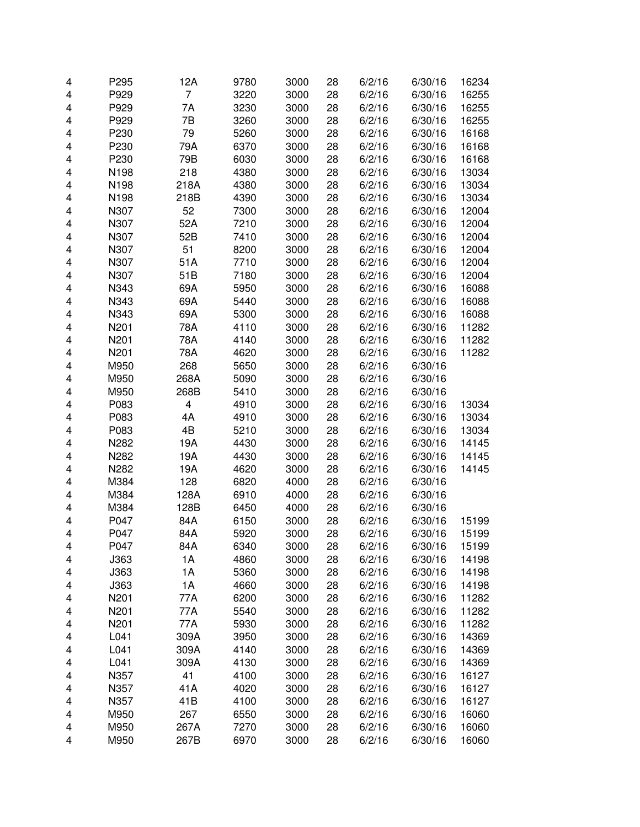| 4 | P295 | 12A                     | 9780 | 3000 | 28 | 6/2/16 | 6/30/16 | 16234 |
|---|------|-------------------------|------|------|----|--------|---------|-------|
| 4 | P929 | $\overline{7}$          | 3220 | 3000 | 28 | 6/2/16 | 6/30/16 | 16255 |
| 4 | P929 | 7A                      | 3230 | 3000 | 28 | 6/2/16 | 6/30/16 | 16255 |
| 4 | P929 | 7B                      | 3260 | 3000 | 28 | 6/2/16 | 6/30/16 | 16255 |
| 4 | P230 | 79                      | 5260 | 3000 | 28 | 6/2/16 | 6/30/16 | 16168 |
| 4 | P230 | 79A                     | 6370 | 3000 | 28 | 6/2/16 | 6/30/16 | 16168 |
| 4 | P230 | 79B                     | 6030 | 3000 | 28 | 6/2/16 | 6/30/16 | 16168 |
| 4 | N198 | 218                     | 4380 | 3000 | 28 | 6/2/16 | 6/30/16 | 13034 |
| 4 | N198 | 218A                    | 4380 | 3000 | 28 | 6/2/16 | 6/30/16 | 13034 |
| 4 | N198 | 218B                    | 4390 | 3000 | 28 | 6/2/16 | 6/30/16 | 13034 |
| 4 | N307 | 52                      | 7300 | 3000 | 28 | 6/2/16 | 6/30/16 | 12004 |
| 4 | N307 | 52A                     | 7210 | 3000 | 28 | 6/2/16 | 6/30/16 | 12004 |
| 4 | N307 | 52B                     | 7410 | 3000 | 28 | 6/2/16 | 6/30/16 | 12004 |
| 4 | N307 | 51                      | 8200 | 3000 | 28 | 6/2/16 | 6/30/16 | 12004 |
| 4 | N307 | 51A                     | 7710 | 3000 | 28 | 6/2/16 | 6/30/16 | 12004 |
| 4 | N307 | 51B                     | 7180 | 3000 | 28 | 6/2/16 | 6/30/16 | 12004 |
| 4 | N343 | 69A                     | 5950 | 3000 | 28 | 6/2/16 | 6/30/16 | 16088 |
| 4 | N343 | 69A                     | 5440 | 3000 | 28 | 6/2/16 | 6/30/16 | 16088 |
|   |      |                         | 5300 |      |    |        |         | 16088 |
| 4 | N343 | 69A                     |      | 3000 | 28 | 6/2/16 | 6/30/16 |       |
| 4 | N201 | 78A                     | 4110 | 3000 | 28 | 6/2/16 | 6/30/16 | 11282 |
| 4 | N201 | 78A                     | 4140 | 3000 | 28 | 6/2/16 | 6/30/16 | 11282 |
| 4 | N201 | 78A                     | 4620 | 3000 | 28 | 6/2/16 | 6/30/16 | 11282 |
| 4 | M950 | 268                     | 5650 | 3000 | 28 | 6/2/16 | 6/30/16 |       |
| 4 | M950 | 268A                    | 5090 | 3000 | 28 | 6/2/16 | 6/30/16 |       |
| 4 | M950 | 268B                    | 5410 | 3000 | 28 | 6/2/16 | 6/30/16 |       |
| 4 | P083 | $\overline{\mathbf{4}}$ | 4910 | 3000 | 28 | 6/2/16 | 6/30/16 | 13034 |
| 4 | P083 | 4A                      | 4910 | 3000 | 28 | 6/2/16 | 6/30/16 | 13034 |
| 4 | P083 | 4B                      | 5210 | 3000 | 28 | 6/2/16 | 6/30/16 | 13034 |
| 4 | N282 | 19A                     | 4430 | 3000 | 28 | 6/2/16 | 6/30/16 | 14145 |
| 4 | N282 | 19A                     | 4430 | 3000 | 28 | 6/2/16 | 6/30/16 | 14145 |
| 4 | N282 | 19A                     | 4620 | 3000 | 28 | 6/2/16 | 6/30/16 | 14145 |
| 4 | M384 | 128                     | 6820 | 4000 | 28 | 6/2/16 | 6/30/16 |       |
| 4 | M384 | 128A                    | 6910 | 4000 | 28 | 6/2/16 | 6/30/16 |       |
| 4 | M384 | 128B                    | 6450 | 4000 | 28 | 6/2/16 | 6/30/16 |       |
| 4 | P047 | 84A                     | 6150 | 3000 | 28 | 6/2/16 | 6/30/16 | 15199 |
| 4 | P047 | 84A                     | 5920 | 3000 | 28 | 6/2/16 | 6/30/16 | 15199 |
| 4 | P047 | 84A                     | 6340 | 3000 | 28 | 6/2/16 | 6/30/16 | 15199 |
| 4 | J363 | 1A                      | 4860 | 3000 | 28 | 6/2/16 | 6/30/16 | 14198 |
| 4 | J363 | 1A                      | 5360 | 3000 | 28 | 6/2/16 | 6/30/16 | 14198 |
| 4 | J363 | 1A                      | 4660 | 3000 | 28 | 6/2/16 | 6/30/16 | 14198 |
| 4 | N201 | 77A                     | 6200 | 3000 | 28 | 6/2/16 | 6/30/16 | 11282 |
| 4 | N201 | 77A                     | 5540 | 3000 | 28 | 6/2/16 | 6/30/16 | 11282 |
| 4 | N201 | 77A                     | 5930 | 3000 | 28 | 6/2/16 | 6/30/16 | 11282 |
| 4 | L041 | 309A                    | 3950 | 3000 | 28 | 6/2/16 | 6/30/16 | 14369 |
| 4 | L041 | 309A                    | 4140 | 3000 | 28 | 6/2/16 | 6/30/16 | 14369 |
| 4 | L041 | 309A                    | 4130 | 3000 | 28 | 6/2/16 | 6/30/16 | 14369 |
| 4 | N357 | 41                      | 4100 | 3000 | 28 | 6/2/16 | 6/30/16 | 16127 |
| 4 | N357 | 41A                     | 4020 | 3000 | 28 | 6/2/16 | 6/30/16 | 16127 |
| 4 | N357 | 41B                     | 4100 | 3000 | 28 | 6/2/16 | 6/30/16 | 16127 |
| 4 | M950 | 267                     | 6550 | 3000 | 28 | 6/2/16 | 6/30/16 | 16060 |
| 4 | M950 | 267A                    | 7270 | 3000 | 28 | 6/2/16 | 6/30/16 | 16060 |
| 4 | M950 | 267B                    | 6970 | 3000 | 28 | 6/2/16 | 6/30/16 | 16060 |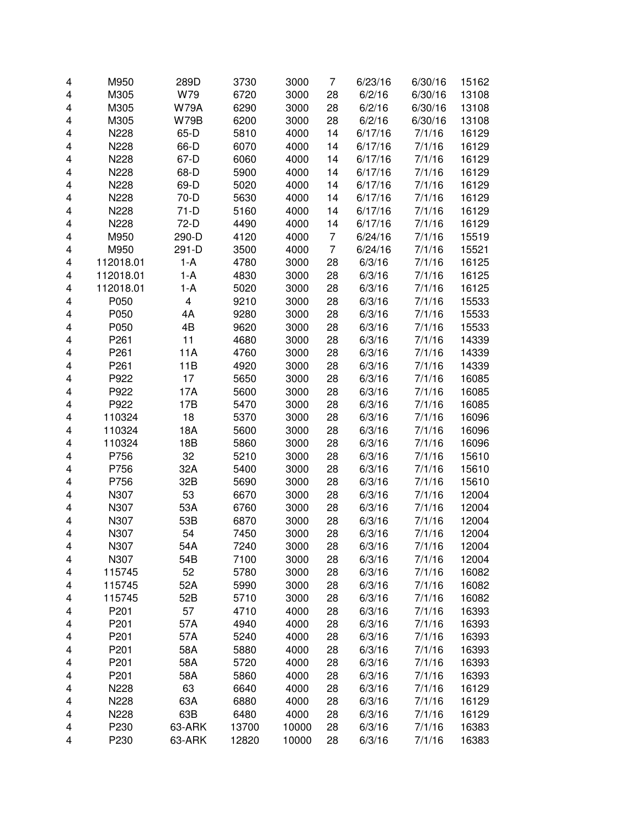| 4 | M950      | 289D        | 3730  | 3000  | 7              | 6/23/16 | 6/30/16 | 15162 |
|---|-----------|-------------|-------|-------|----------------|---------|---------|-------|
| 4 | M305      | W79         | 6720  | 3000  | 28             | 6/2/16  | 6/30/16 | 13108 |
| 4 | M305      | <b>W79A</b> | 6290  | 3000  | 28             | 6/2/16  | 6/30/16 | 13108 |
| 4 | M305      | <b>W79B</b> | 6200  | 3000  | 28             | 6/2/16  | 6/30/16 | 13108 |
| 4 | N228      | 65-D        | 5810  | 4000  | 14             | 6/17/16 | 7/1/16  | 16129 |
| 4 | N228      | 66-D        | 6070  | 4000  | 14             | 6/17/16 | 7/1/16  | 16129 |
| 4 | N228      | 67-D        | 6060  | 4000  | 14             | 6/17/16 | 7/1/16  | 16129 |
| 4 | N228      | 68-D        | 5900  | 4000  | 14             | 6/17/16 | 7/1/16  | 16129 |
| 4 | N228      | 69-D        | 5020  | 4000  | 14             | 6/17/16 | 7/1/16  | 16129 |
| 4 | N228      | 70-D        | 5630  | 4000  | 14             | 6/17/16 | 7/1/16  | 16129 |
| 4 | N228      | $71-D$      | 5160  | 4000  | 14             | 6/17/16 | 7/1/16  | 16129 |
| 4 | N228      | 72-D        | 4490  | 4000  | 14             | 6/17/16 | 7/1/16  | 16129 |
| 4 | M950      | 290-D       | 4120  | 4000  | 7              | 6/24/16 | 7/1/16  | 15519 |
| 4 | M950      | 291-D       | 3500  | 4000  | $\overline{7}$ | 6/24/16 | 7/1/16  | 15521 |
| 4 | 112018.01 | $1-A$       | 4780  | 3000  | 28             | 6/3/16  | 7/1/16  | 16125 |
| 4 | 112018.01 | $1-A$       | 4830  | 3000  | 28             | 6/3/16  | 7/1/16  | 16125 |
| 4 | 112018.01 | $1-A$       | 5020  | 3000  | 28             | 6/3/16  | 7/1/16  | 16125 |
| 4 | P050      | 4           | 9210  | 3000  | 28             | 6/3/16  | 7/1/16  | 15533 |
| 4 | P050      | 4A          | 9280  | 3000  | 28             | 6/3/16  | 7/1/16  | 15533 |
| 4 | P050      | 4B          | 9620  | 3000  | 28             | 6/3/16  | 7/1/16  | 15533 |
| 4 | P261      | 11          | 4680  | 3000  | 28             | 6/3/16  | 7/1/16  | 14339 |
| 4 | P261      | 11A         | 4760  | 3000  | 28             | 6/3/16  | 7/1/16  | 14339 |
| 4 | P261      | 11B         | 4920  | 3000  | 28             | 6/3/16  | 7/1/16  | 14339 |
| 4 | P922      | 17          | 5650  | 3000  | 28             | 6/3/16  | 7/1/16  | 16085 |
| 4 | P922      | 17A         | 5600  | 3000  | 28             | 6/3/16  | 7/1/16  | 16085 |
| 4 | P922      | 17B         | 5470  | 3000  | 28             | 6/3/16  | 7/1/16  | 16085 |
| 4 | 110324    | 18          | 5370  | 3000  | 28             | 6/3/16  | 7/1/16  | 16096 |
| 4 | 110324    | 18A         | 5600  | 3000  | 28             | 6/3/16  | 7/1/16  | 16096 |
| 4 | 110324    | 18B         | 5860  | 3000  | 28             | 6/3/16  | 7/1/16  | 16096 |
| 4 | P756      | 32          | 5210  | 3000  | 28             | 6/3/16  | 7/1/16  | 15610 |
| 4 | P756      | 32A         | 5400  | 3000  | 28             | 6/3/16  | 7/1/16  | 15610 |
| 4 | P756      | 32B         | 5690  | 3000  | 28             | 6/3/16  | 7/1/16  | 15610 |
| 4 | N307      | 53          | 6670  | 3000  | 28             | 6/3/16  | 7/1/16  | 12004 |
| 4 | N307      | 53A         | 6760  | 3000  | 28             | 6/3/16  | 7/1/16  | 12004 |
| 4 | N307      | 53B         | 6870  | 3000  | 28             | 6/3/16  | 7/1/16  | 12004 |
| 4 | N307      | 54          | 7450  | 3000  | 28             | 6/3/16  | 7/1/16  | 12004 |
| 4 | N307      | 54A         | 7240  | 3000  | 28             | 6/3/16  | 7/1/16  | 12004 |
| 4 | N307      | 54B         | 7100  | 3000  | 28             | 6/3/16  | 7/1/16  | 12004 |
| 4 | 115745    | 52          | 5780  | 3000  | 28             | 6/3/16  | 7/1/16  | 16082 |
| 4 | 115745    | 52A         | 5990  | 3000  | 28             | 6/3/16  | 7/1/16  | 16082 |
| 4 | 115745    | 52B         | 5710  | 3000  | 28             | 6/3/16  | 7/1/16  | 16082 |
| 4 | P201      | 57          | 4710  | 4000  | 28             | 6/3/16  | 7/1/16  | 16393 |
| 4 | P201      | 57A         | 4940  | 4000  | 28             | 6/3/16  | 7/1/16  | 16393 |
| 4 | P201      | 57A         | 5240  | 4000  | 28             | 6/3/16  | 7/1/16  | 16393 |
| 4 | P201      | 58A         | 5880  | 4000  | 28             | 6/3/16  | 7/1/16  | 16393 |
| 4 | P201      | 58A         | 5720  | 4000  | 28             | 6/3/16  | 7/1/16  | 16393 |
| 4 | P201      | 58A         | 5860  | 4000  | 28             | 6/3/16  | 7/1/16  | 16393 |
| 4 | N228      | 63          | 6640  | 4000  | 28             | 6/3/16  | 7/1/16  | 16129 |
| 4 | N228      | 63A         | 6880  | 4000  | 28             | 6/3/16  | 7/1/16  | 16129 |
| 4 | N228      | 63B         | 6480  | 4000  | 28             | 6/3/16  | 7/1/16  | 16129 |
| 4 | P230      | 63-ARK      | 13700 | 10000 | 28             | 6/3/16  | 7/1/16  | 16383 |
| 4 | P230      | 63-ARK      | 12820 | 10000 | 28             | 6/3/16  | 7/1/16  | 16383 |
|   |           |             |       |       |                |         |         |       |